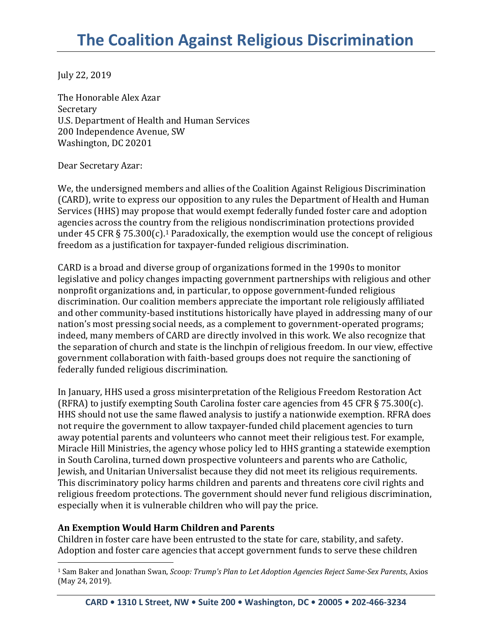July 22, 2019

The Honorable Alex Azar Secretary U.S. Department of Health and Human Services 200 Independence Avenue, SW Washington, DC 20201

Dear Secretary Azar:

We, the undersigned members and allies of the Coalition Against Religious Discrimination (CARD), write to express our opposition to any rules the Department of Health and Human Services (HHS) may propose that would exempt federally funded foster care and adoption agencies across the country from the religious nondiscrimination protections provided under 45 CFR § 75.300(c).<sup>1</sup> Paradoxically, the exemption would use the concept of religious freedom as a justification for taxpayer-funded religious discrimination.

CARD is a broad and diverse group of organizations formed in the 1990s to monitor legislative and policy changes impacting government partnerships with religious and other nonprofit organizations and, in particular, to oppose government-funded religious discrimination. Our coalition members appreciate the important role religiously affiliated and other community-based institutions historically have played in addressing many of our nation's most pressing social needs, as a complement to government-operated programs; indeed, many members of CARD are directly involved in this work. We also recognize that the separation of church and state is the linchpin of religious freedom. In our view, effective government collaboration with faith-based groups does not require the sanctioning of federally funded religious discrimination.

In January, HHS used a gross misinterpretation of the Religious Freedom Restoration Act (RFRA) to justify exempting South Carolina foster care agencies from 45 CFR § 75.300(c). HHS should not use the same flawed analysis to justify a nationwide exemption. RFRA does not require the government to allow taxpayer-funded child placement agencies to turn away potential parents and volunteers who cannot meet their religious test. For example, Miracle Hill Ministries, the agency whose policy led to HHS granting a statewide exemption in South Carolina, turned down prospective volunteers and parents who are Catholic, Jewish, and Unitarian Universalist because they did not meet its religious requirements. This discriminatory policy harms children and parents and threatens core civil rights and religious freedom protections. The government should never fund religious discrimination, especially when it is vulnerable children who will pay the price.

## **An Exemption Would Harm Children and Parents**

 $\overline{a}$ 

Children in foster care have been entrusted to the state for care, stability, and safety. Adoption and foster care agencies that accept government funds to serve these children

<sup>1</sup> Sam Baker and Jonathan Swan, *Scoop: Trump's Plan to Let Adoption Agencies Reject Same-Sex Parents*, Axios (May 24, 2019).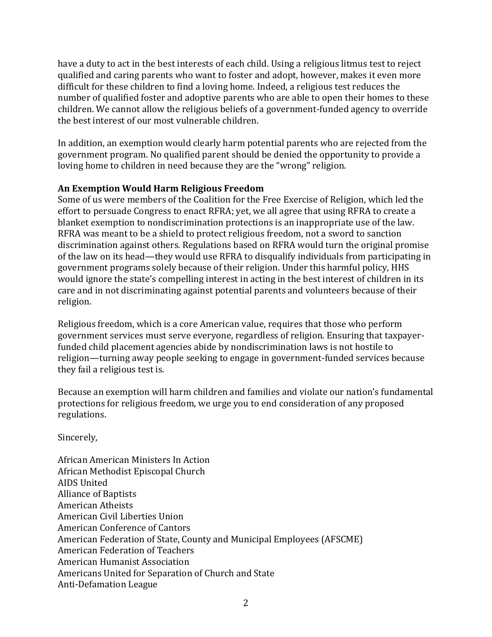have a duty to act in the best interests of each child. Using a religious litmus test to reject qualified and caring parents who want to foster and adopt, however, makes it even more difficult for these children to find a loving home. Indeed, a religious test reduces the number of qualified foster and adoptive parents who are able to open their homes to these children. We cannot allow the religious beliefs of a government-funded agency to override the best interest of our most vulnerable children.

In addition, an exemption would clearly harm potential parents who are rejected from the government program. No qualified parent should be denied the opportunity to provide a loving home to children in need because they are the "wrong" religion.

## **An Exemption Would Harm Religious Freedom**

Some of us were members of the Coalition for the Free Exercise of Religion, which led the effort to persuade Congress to enact RFRA; yet, we all agree that using RFRA to create a blanket exemption to nondiscrimination protections is an inappropriate use of the law. RFRA was meant to be a shield to protect religious freedom, not a sword to sanction discrimination against others. Regulations based on RFRA would turn the original promise of the law on its head—they would use RFRA to disqualify individuals from participating in government programs solely because of their religion. Under this harmful policy, HHS would ignore the state's compelling interest in acting in the best interest of children in its care and in not discriminating against potential parents and volunteers because of their religion.

Religious freedom, which is a core American value, requires that those who perform government services must serve everyone, regardless of religion. Ensuring that taxpayerfunded child placement agencies abide by nondiscrimination laws is not hostile to religion—turning away people seeking to engage in government-funded services because they fail a religious test is.

Because an exemption will harm children and families and violate our nation's fundamental protections for religious freedom, we urge you to end consideration of any proposed regulations.

Sincerely,

African American Ministers In Action African Methodist Episcopal Church AIDS United Alliance of Baptists American Atheists American Civil Liberties Union American Conference of Cantors American Federation of State, County and Municipal Employees (AFSCME) American Federation of Teachers American Humanist Association Americans United for Separation of Church and State Anti-Defamation League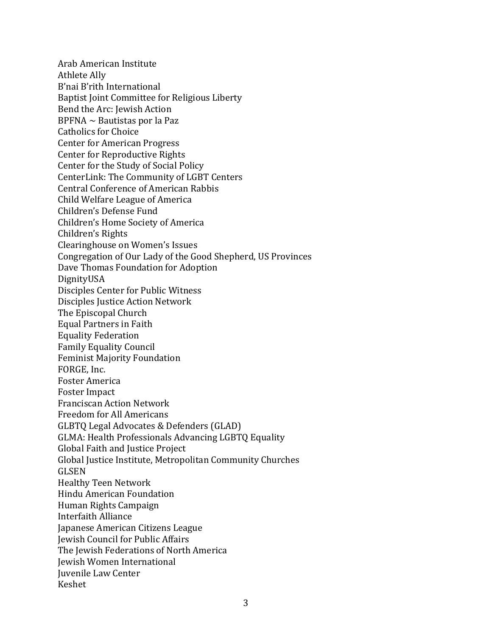Arab American Institute Athlete Ally B'nai B'rith International Baptist Joint Committee for Religious Liberty Bend the Arc: Jewish Action  $BPFNA \sim$  Bautistas por la Paz Catholics for Choice Center for American Progress Center for Reproductive Rights Center for the Study of Social Policy CenterLink: The Community of LGBT Centers Central Conference of American Rabbis Child Welfare League of America Children's Defense Fund Children's Home Society of America Children's Rights Clearinghouse on Women's Issues Congregation of Our Lady of the Good Shepherd, US Provinces Dave Thomas Foundation for Adoption DignityUSA Disciples Center for Public Witness Disciples Justice Action Network The Episcopal Church Equal Partners in Faith Equality Federation Family Equality Council Feminist Majority Foundation FORGE, Inc. Foster America Foster Impact Franciscan Action Network Freedom for All Americans GLBTQ Legal Advocates & Defenders (GLAD) GLMA: Health Professionals Advancing LGBTQ Equality Global Faith and Justice Project Global Justice Institute, Metropolitan Community Churches GLSEN Healthy Teen Network Hindu American Foundation Human Rights Campaign Interfaith Alliance Japanese American Citizens League Jewish Council for Public Affairs The Jewish Federations of North America Jewish Women International Juvenile Law Center Keshet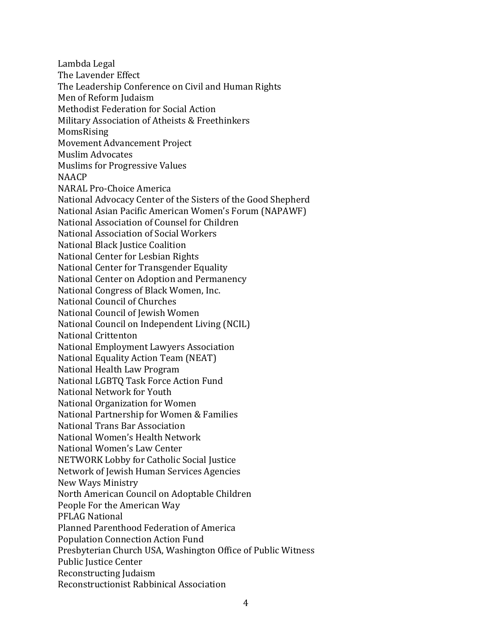Lambda Legal The Lavender Effect The Leadership Conference on Civil and Human Rights Men of Reform Judaism Methodist Federation for Social Action Military Association of Atheists & Freethinkers MomsRising Movement Advancement Project Muslim Advocates Muslims for Progressive Values **NAACP** NARAL Pro-Choice America National Advocacy Center of the Sisters of the Good Shepherd National Asian Pacific American Women's Forum (NAPAWF) National Association of Counsel for Children National Association of Social Workers National Black Justice Coalition National Center for Lesbian Rights National Center for Transgender Equality National Center on Adoption and Permanency National Congress of Black Women, Inc. National Council of Churches National Council of Jewish Women National Council on Independent Living (NCIL) National Crittenton National Employment Lawyers Association National Equality Action Team (NEAT) National Health Law Program National LGBTQ Task Force Action Fund National Network for Youth National Organization for Women National Partnership for Women & Families National Trans Bar Association National Women's Health Network National Women's Law Center NETWORK Lobby for Catholic Social Justice Network of Jewish Human Services Agencies New Ways Ministry North American Council on Adoptable Children People For the American Way PFLAG National Planned Parenthood Federation of America Population Connection Action Fund Presbyterian Church USA, Washington Office of Public Witness Public Justice Center Reconstructing Judaism Reconstructionist Rabbinical Association